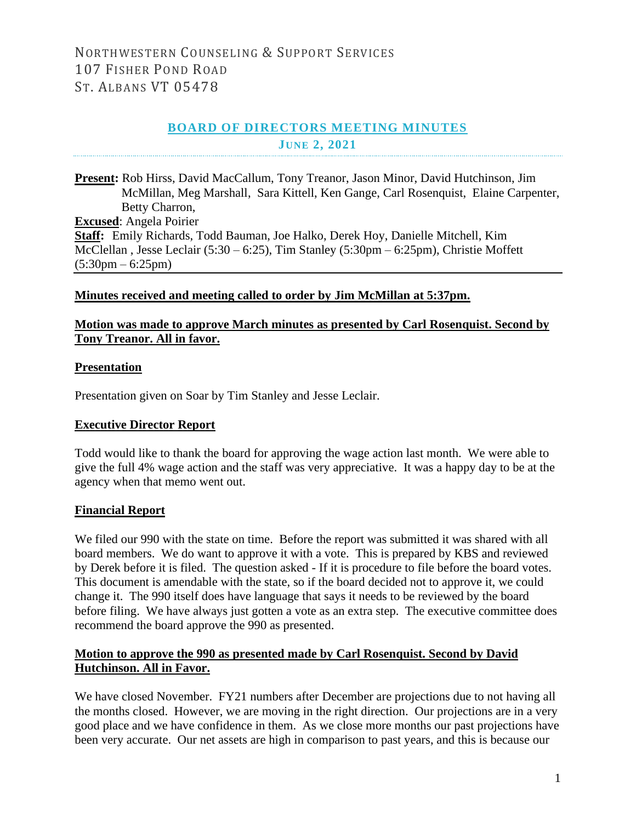# **BOARD OF DIRECTORS MEETING MINUTES JUNE 2, 2021**

**Present:** Rob Hirss, David MacCallum, Tony Treanor, Jason Minor, David Hutchinson, Jim McMillan, Meg Marshall, Sara Kittell, Ken Gange, Carl Rosenquist, Elaine Carpenter, Betty Charron, **Excused**: Angela Poirier **Staff:** Emily Richards, Todd Bauman, Joe Halko, Derek Hoy, Danielle Mitchell, Kim McClellan , Jesse Leclair (5:30 – 6:25), Tim Stanley (5:30pm – 6:25pm), Christie Moffett  $(5:30 \text{pm} - 6:25 \text{pm})$ 

## **Minutes received and meeting called to order by Jim McMillan at 5:37pm.**

# **Motion was made to approve March minutes as presented by Carl Rosenquist. Second by Tony Treanor. All in favor.**

#### **Presentation**

Presentation given on Soar by Tim Stanley and Jesse Leclair.

#### **Executive Director Report**

Todd would like to thank the board for approving the wage action last month. We were able to give the full 4% wage action and the staff was very appreciative. It was a happy day to be at the agency when that memo went out.

# **Financial Report**

We filed our 990 with the state on time. Before the report was submitted it was shared with all board members. We do want to approve it with a vote. This is prepared by KBS and reviewed by Derek before it is filed. The question asked - If it is procedure to file before the board votes. This document is amendable with the state, so if the board decided not to approve it, we could change it. The 990 itself does have language that says it needs to be reviewed by the board before filing. We have always just gotten a vote as an extra step. The executive committee does recommend the board approve the 990 as presented.

# **Motion to approve the 990 as presented made by Carl Rosenquist. Second by David Hutchinson. All in Favor.**

We have closed November. FY21 numbers after December are projections due to not having all the months closed. However, we are moving in the right direction. Our projections are in a very good place and we have confidence in them. As we close more months our past projections have been very accurate. Our net assets are high in comparison to past years, and this is because our